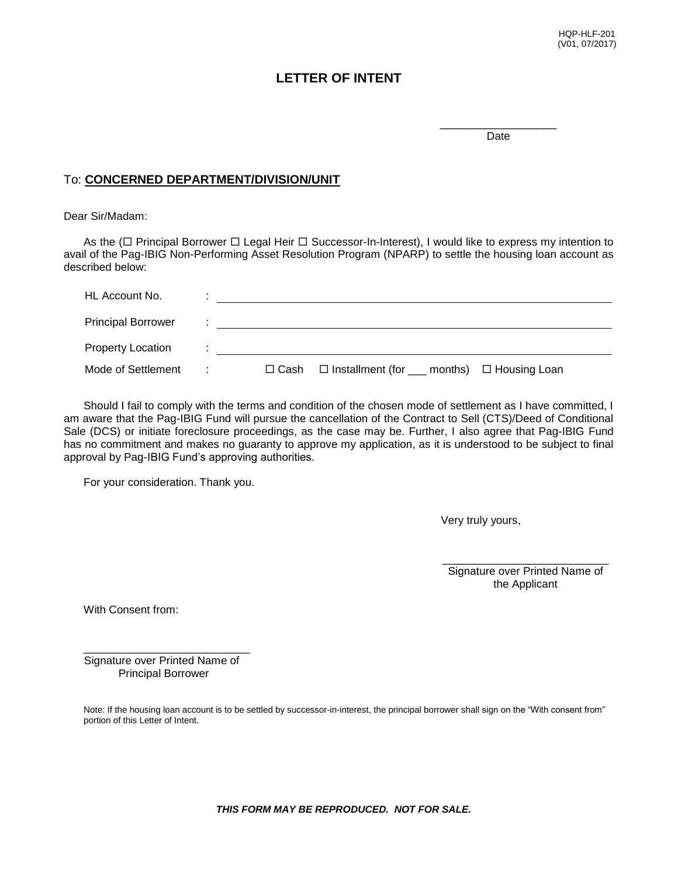## **LETTER OF INTENT**

\_\_\_\_\_\_\_\_\_\_\_\_\_\_\_\_\_\_ Date

## To: **CONCERNED DEPARTMENT/DIVISION/UNIT**

Dear Sir/Madam:

As the ( $\Box$  Principal Borrower  $\Box$  Legal Heir  $\Box$  Successor-In-Interest), I would like to express my intention to avail of the Pag-IBIG Non-Performing Asset Resolution Program (NPARP) to settle the housing loan account as described below:

| HL Account No.            | ٠              |                                                                       |
|---------------------------|----------------|-----------------------------------------------------------------------|
| <b>Principal Borrower</b> |                |                                                                       |
| <b>Property Location</b>  | $\blacksquare$ |                                                                       |
| Mode of Settlement        | ÷              | $\Box$ Installment (for $\_\_\$ months) $\Box$ Housing Loan<br>□ Cash |

Should I fail to comply with the terms and condition of the chosen mode of settlement as I have committed, I am aware that the Pag-IBIG Fund will pursue the cancellation of the Contract to Sell (CTS)/Deed of Conditional Sale (DCS) or initiate foreclosure proceedings, as the case may be. Further, I also agree that Pag-IBIG Fund has no commitment and makes no guaranty to approve my application, as it is understood to be subject to final approval by Pag-IBIG Fund's approving authorities.

For your consideration. Thank you.

Very truly yours,

\_\_\_\_\_\_\_\_\_\_\_\_\_\_\_\_\_\_\_\_\_\_\_\_\_\_\_ Signature over Printed Name of the Applicant

With Consent from:

\_\_\_\_\_\_\_\_\_\_\_\_\_\_\_\_\_\_\_\_\_\_\_\_\_\_\_ Signature over Printed Name of Principal Borrower

Note: If the housing loan account is to be settled by successor-in-interest, the principal borrower shall sign on the "With consent from" portion of this Letter of Intent.

*THIS FORM MAY BE REPRODUCED. NOT FOR SALE.*